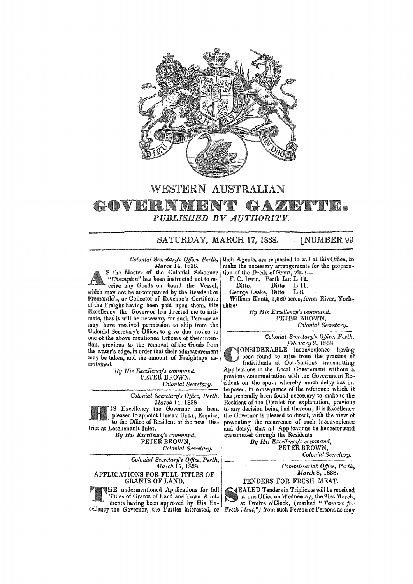

## WESTERN AUSTRALIAN • *PUBLISHED BY AUTHORITY.*

SATURDAY, MARCH 17, 1838. [NUMBER 99

## *Colonial Secretary's OjJice, Perth, March* 14, 1838.

S the Master of the Colonial Schooner *"Champion"* has been instructed not to receive any Goods on board the Vessel, which may not be accompanied by the Resident of Fremantle's, or Collector of Revenue's Certificate of the Freight having been paid upon them, His Excellency the Governor has directed me to intimate, that it will be necessary for such Persons as may have received permission to ship from the Colonial Secretary's Office, to give due notice to one of the above mentioned Officers of their intention, previous to the removal of the Goods from the water's edge, ia order that their admeasurement may be taken, and the amount of Freightage ascertained.

*By His Excellency's command,*  PETER BROWN,

*Colonial Secretary.* 

*Colonial Secretary's Office, Perth, March* 14, 1838

IS Excellency the Governor has been pleased to appoint HENRY BULL, Esquire, to the Office of Resident of the new District at Leschenault Inlet.

*By His Excellency's command,*  PETER BROWN, *Colonial Secretary.* 

*Colonial Secretary's Office, Perth, March* 15, 1838. APPLICATIONS FOR FULL TITLES OF GRANTS OF LAND.

HE undermentioned Applications for full Titles of Grants of Land and Town Allotments having been approved by His Excellency the Governor, the Parties interested, or

their Agents, are requested to call at this Office, to make the necessary arrangements for the prepara~ tion of the Deeds of Grant, viz. :-

F. C. Irwin, Perth Lot L 12.<br>Ditto, Ditto L 11. Ditto, Ditto L 11.<br>Porge Leake, Ditto L 8.

George Leake, Ditto

William Knott, 1,320 acres, Avon River, Yorkshire-

> *By His Excellency's command,*  PETER BROWN, *Colonial Secretary.*

> > *Colonial Secretary's Office, Perth, February* 9, 1838.

ONSIDERABLE inconvenience having been found to arise from the practice of Individuals at Out-Stations transmitting Applications to the Local Government without a previous communication with the Government Resident on the spot; whereby much delay has interposed, in consequence of the reference which it has generally been found necessary to make to the Resident of the District for explanation, previous to any decision being had thereon; His Excellency the Governor is pleased to direct, with the view of preventing the recurrence of such inconvenience and delay, that all Applications be henceforward transmitted through the Residents.

*By His Excellency's command,*  PETER BROWN, *Colonial Secretary.* 

*Commissariat Office, Perth,* 

*March* 5, 1838.

TENDERS FOR FRESH MEAT.

EALED Tenders in Triplicate will be received at this Office on Wednesday, the 21st March, at Twelve o'Clock, (marked" *Tenders for Fresh Meat*,") from such Person or Persons as may